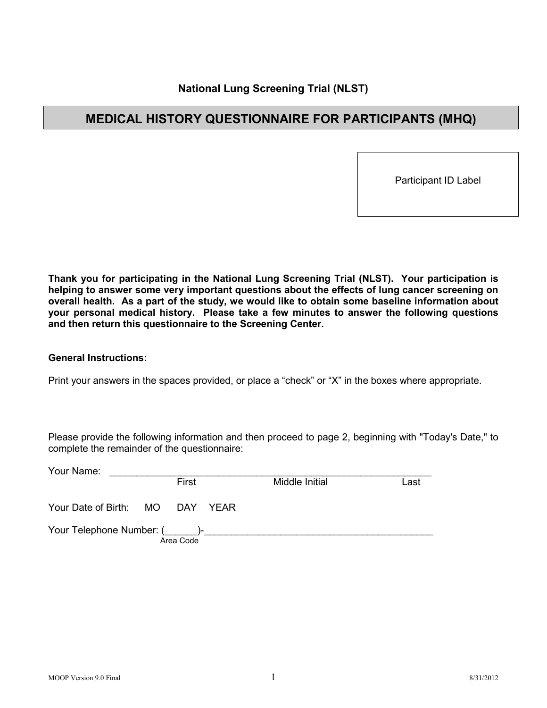# **National Lung Screening Trial (NLST)**

# **MEDICAL HISTORY QUESTIONNAIRE FOR PARTICIPANTS (MHQ)**

Participant ID Label

**Thank you for participating in the National Lung Screening Trial (NLST). Your participation is helping to answer some very important questions about the effects of lung cancer screening on overall health. As a part of the study, we would like to obtain some baseline information about your personal medical history. Please take a few minutes to answer the following questions and then return this questionnaire to the Screening Center.**

#### **General Instructions:**

Print your answers in the spaces provided, or place a "check" or "X" in the boxes where appropriate.

Please provide the following information and then proceed to page 2, beginning with "Today's Date," to complete the remainder of the questionnaire:

| Your Name:                      |           |                |      |
|---------------------------------|-----------|----------------|------|
|                                 | First     | Middle Initial | Last |
| Your Date of Birth: MO DAY YEAR |           |                |      |
| Your Telephone Number: ()-      | Area Code |                |      |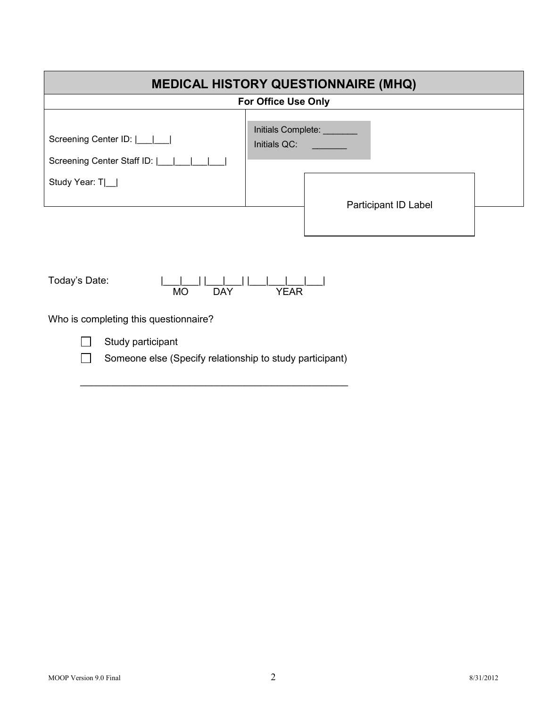| <b>MEDICAL HISTORY QUESTIONNAIRE (MHQ)</b>                                        |                                                            |  |  |
|-----------------------------------------------------------------------------------|------------------------------------------------------------|--|--|
| <b>For Office Use Only</b>                                                        |                                                            |  |  |
| Screening Center ID:      <br>Screening Center Staff ID:      <br>Study Year: T _ | Initials Complete:<br>Initials QC:<br>Participant ID Label |  |  |
|                                                                                   |                                                            |  |  |



Who is completing this questionnaire?



Study participant

Someone else (Specify relationship to study participant)  $\Box$ 

\_\_\_\_\_\_\_\_\_\_\_\_\_\_\_\_\_\_\_\_\_\_\_\_\_\_\_\_\_\_\_\_\_\_\_\_\_\_\_\_\_\_\_\_\_\_\_\_\_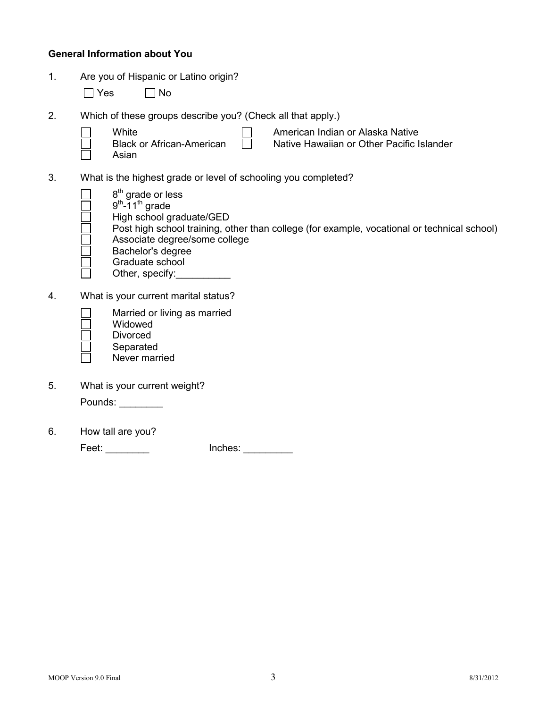## **General Information about You**

- 1. Are you of Hispanic or Latino origin?
	- $\Box$  Yes  $\Box$  No
- 2. Which of these groups describe you? (Check all that apply.)
	- **White**
	- Black or African-American

 $\Box$ 

Asian

American Indian or Alaska Native Native Hawaiian or Other Pacific Islander

3. What is the highest grade or level of schooling you completed?

П

- 8<sup>th</sup> grade or less  $9<sup>th</sup> - 11<sup>th</sup>$  grade
- 
- High school graduate/GED
- Post high school training, other than college (for example, vocational or technical school)
- Associate degree/some college
- Bachelor's degree
- Graduate school
- Other, specify:
- 4. What is your current marital status?
	- Married or living as married
	- Widowed
	- Divorced
	- Separated
	- Never married
- 5. What is your current weight?

Pounds: \_\_\_\_\_\_\_\_\_

6. How tall are you?

Feet: \_\_\_\_\_\_\_\_ Inches: \_\_\_\_\_\_\_\_\_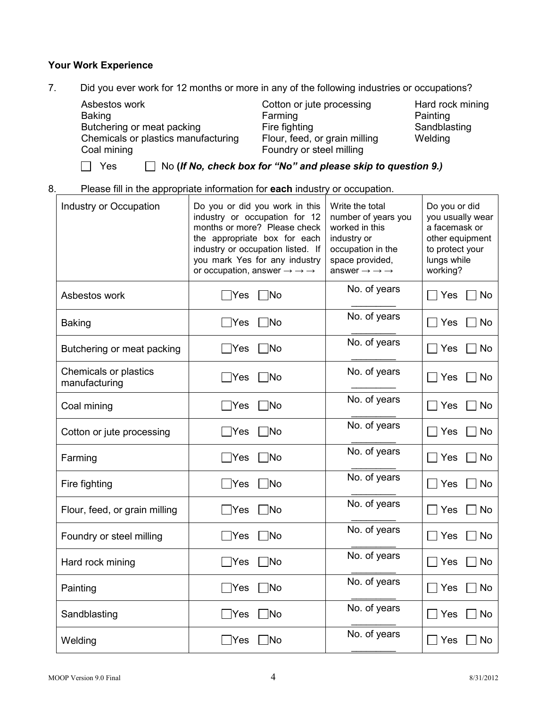#### **Your Work Experience**

7. Did you ever work for 12 months or more in any of the following industries or occupations?

Asbestos work Baking Butchering or meat packing Chemicals or plastics manufacturing Coal mining Cotton or jute processing Farming Fire fighting Flour, feed, or grain milling Foundry or steel milling

Hard rock mining **Painting Sandblasting** Welding

 $\Box$  Yes

Yes No **(***If No, check box for "No" and please skip to question 9.)*

8. Please fill in the appropriate information for **each** industry or occupation.

| Industry or Occupation                 | Do you or did you work in this<br>industry or occupation for 12<br>months or more? Please check<br>the appropriate box for each<br>industry or occupation listed. If<br>you mark Yes for any industry<br>or occupation, answer $\rightarrow \rightarrow \rightarrow$ | Write the total<br>number of years you<br>worked in this<br>industry or<br>occupation in the<br>space provided,<br>answer $\rightarrow \rightarrow \rightarrow$ | Do you or did<br>you usually wear<br>a facemask or<br>other equipment<br>to protect your<br>lungs while<br>working? |
|----------------------------------------|----------------------------------------------------------------------------------------------------------------------------------------------------------------------------------------------------------------------------------------------------------------------|-----------------------------------------------------------------------------------------------------------------------------------------------------------------|---------------------------------------------------------------------------------------------------------------------|
| Asbestos work                          | 7No<br>∣Yes                                                                                                                                                                                                                                                          | No. of years                                                                                                                                                    | $\sqcap$ Yes<br>Mo⊺                                                                                                 |
| <b>Baking</b>                          | ∃No<br>$\Box$ Yes                                                                                                                                                                                                                                                    | No. of years                                                                                                                                                    | $\sqcap$ Yes<br>∣ No                                                                                                |
| Butchering or meat packing             | ∏No<br>$\sqrt{}$ Yes                                                                                                                                                                                                                                                 | No. of years                                                                                                                                                    | ∃ No<br>  Yes                                                                                                       |
| Chemicals or plastics<br>manufacturing | $\neg$ No<br> Yes                                                                                                                                                                                                                                                    | No. of years                                                                                                                                                    | $\sqcap$ Yes<br>∩ No                                                                                                |
| Coal mining                            | $\Box$ Yes<br>$\sqcap$ No                                                                                                                                                                                                                                            | No. of years                                                                                                                                                    | $\sqcap$ Yes<br>No                                                                                                  |
| Cotton or jute processing              | ∃No<br>$\Box$ Yes                                                                                                                                                                                                                                                    | No. of years                                                                                                                                                    | $\sqcap$ Yes<br>∃ No                                                                                                |
| Farming                                | <b>No</b><br>Yes                                                                                                                                                                                                                                                     | No. of years                                                                                                                                                    | Yes<br>No                                                                                                           |
| Fire fighting                          | $\neg$ No<br>$\exists$ Yes                                                                                                                                                                                                                                           | No. of years                                                                                                                                                    | $\sqcap$ Yes<br>∏ No                                                                                                |
| Flour, feed, or grain milling          | ∃No<br>$\exists$ Yes                                                                                                                                                                                                                                                 | No. of years                                                                                                                                                    | ∏ No<br>Yes                                                                                                         |
| Foundry or steel milling               | ∃No<br>Yes                                                                                                                                                                                                                                                           | No. of years                                                                                                                                                    | ] No<br>$\Box$ Yes                                                                                                  |
| Hard rock mining                       | ∃No<br>$\mathsf{Yes}$                                                                                                                                                                                                                                                | No. of years                                                                                                                                                    | Yes<br><b>No</b>                                                                                                    |
| Painting                               | $\Box$ Yes<br>∏No                                                                                                                                                                                                                                                    | No. of years                                                                                                                                                    | <b>No</b><br>  Yes                                                                                                  |
| Sandblasting                           | ∃No<br>$\exists$ Yes                                                                                                                                                                                                                                                 | No. of years                                                                                                                                                    | <b>No</b><br>$\sqcap$ Yes                                                                                           |
| Welding                                | ∏No<br><b>Yes</b>                                                                                                                                                                                                                                                    | No. of years                                                                                                                                                    | Yes<br><b>No</b>                                                                                                    |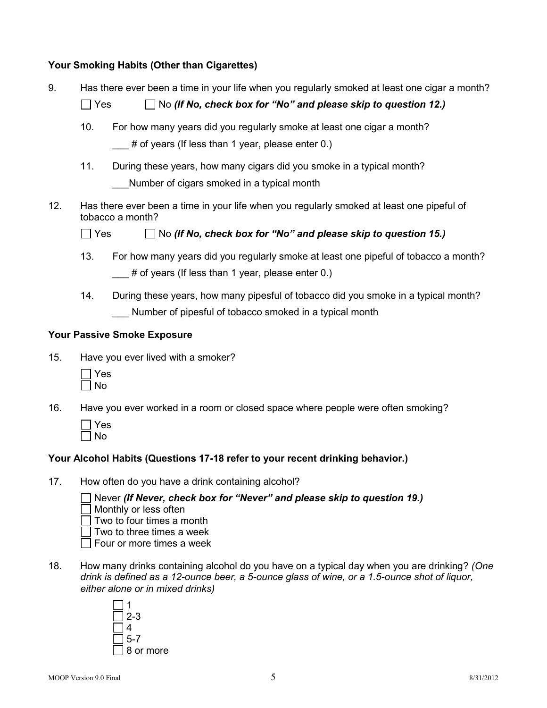## **Your Smoking Habits (Other than Cigarettes)**

9. Has there ever been a time in your life when you regularly smoked at least one cigar a month?

Yes No *(If No, check box for "No" and please skip to question 12.)*

- 10. For how many years did you regularly smoke at least one cigar a month?  $#$  of years (If less than 1 year, please enter 0.)
- 11. During these years, how many cigars did you smoke in a typical month? Number of cigars smoked in a typical month
- 12. Has there ever been a time in your life when you regularly smoked at least one pipeful of tobacco a month?

 $\Box$  Yes  $\Box$  No *(If No, check box for "No" and please skip to question 15.)* 

- 13. For how many years did you regularly smoke at least one pipeful of tobacco a month?  $\#$  of years (If less than 1 year, please enter 0.)
- 14. During these years, how many pipesful of tobacco did you smoke in a typical month? Number of pipesful of tobacco smoked in a typical month

# **Your Passive Smoke Exposure**

15. Have you ever lived with a smoker?

| Y<br>⊷ |
|--------|
| N<br>n |

- 16. Have you ever worked in a room or closed space where people were often smoking?
	- Yes  $\Box$  No

# **Your Alcohol Habits (Questions 17-18 refer to your recent drinking behavior.)**

17. How often do you have a drink containing alcohol?

Never *(If Never, check box for "Never" and please skip to question 19.)*  $\Box$  Monthly or less often

- $\Box$  Two to four times a month
- $\Box$  Two to three times a week
- $\Box$  Four or more times a week
- 18. How many drinks containing alcohol do you have on a typical day when you are drinking? *(One drink is defined as a 12-ounce beer, a 5-ounce glass of wine, or a 1.5-ounce shot of liquor, either alone or in mixed drinks)*

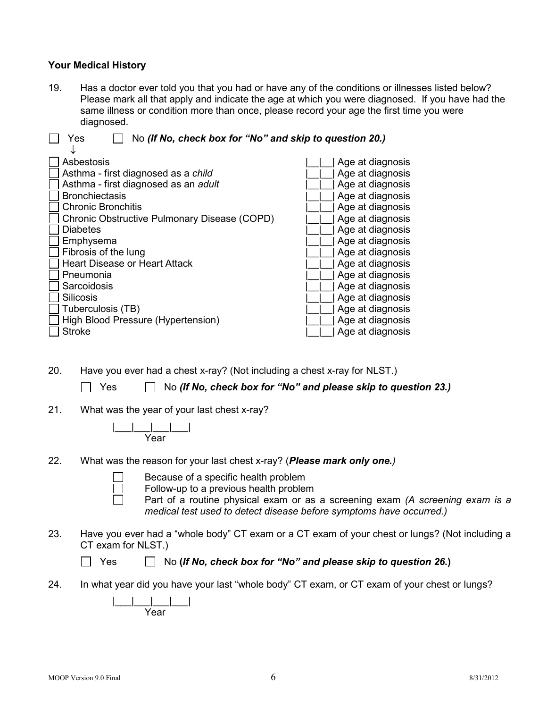## **Your Medical History**

19. Has a doctor ever told you that you had or have any of the conditions or illnesses listed below? Please mark all that apply and indicate the age at which you were diagnosed. If you have had the same illness or condition more than once, please record your age the first time you were diagnosed.

| No (If No, check box for "No" and skip to question 20.)<br>Yes |                  |  |  |
|----------------------------------------------------------------|------------------|--|--|
|                                                                |                  |  |  |
| Asbestosis                                                     | Age at diagnosis |  |  |
| Asthma - first diagnosed as a child                            | Age at diagnosis |  |  |
| Asthma - first diagnosed as an adult                           | Age at diagnosis |  |  |
| <b>Bronchiectasis</b>                                          | Age at diagnosis |  |  |
| <b>Chronic Bronchitis</b>                                      | Age at diagnosis |  |  |
| Chronic Obstructive Pulmonary Disease (COPD)                   | Age at diagnosis |  |  |
| <b>Diabetes</b>                                                | Age at diagnosis |  |  |
| Emphysema                                                      | Age at diagnosis |  |  |
| Fibrosis of the lung                                           | Age at diagnosis |  |  |
| <b>Heart Disease or Heart Attack</b>                           | Age at diagnosis |  |  |
| Pneumonia                                                      | Age at diagnosis |  |  |
| Sarcoidosis                                                    | Age at diagnosis |  |  |
| <b>Silicosis</b>                                               | Age at diagnosis |  |  |
| Tuberculosis (TB)                                              | Age at diagnosis |  |  |
| High Blood Pressure (Hypertension)                             | Age at diagnosis |  |  |
| <b>Stroke</b>                                                  | Age at diagnosis |  |  |

20. Have you ever had a chest x-ray? (Not including a chest x-ray for NLST.)

Yes No *(If No, check box for "No" and please skip to question 23.)*

21. What was the year of your last chest x-ray?



22. What was the reason for your last chest x-ray? (*Please mark only one.)*

| Because of a s |  |  |
|----------------|--|--|
|                |  |  |

 $\Box$  Because of a specific health problem<br> $\Box$  Follow-up to a previous health problem<br>Part of a routine physical exam or a Follow-up to a previous health problem

Part of a routine physical exam or as a screening exam *(A screening exam is a medical test used to detect disease before symptoms have occurred.)*

23. Have you ever had a "whole body" CT exam or a CT exam of your chest or lungs? (Not including a CT exam for NLST.)

| Yes | $\Box$ No (If No, check box for "No" and please skip to question 26.) |  |  |
|-----|-----------------------------------------------------------------------|--|--|
|-----|-----------------------------------------------------------------------|--|--|

24. In what year did you have your last "whole body" CT exam, or CT exam of your chest or lungs?